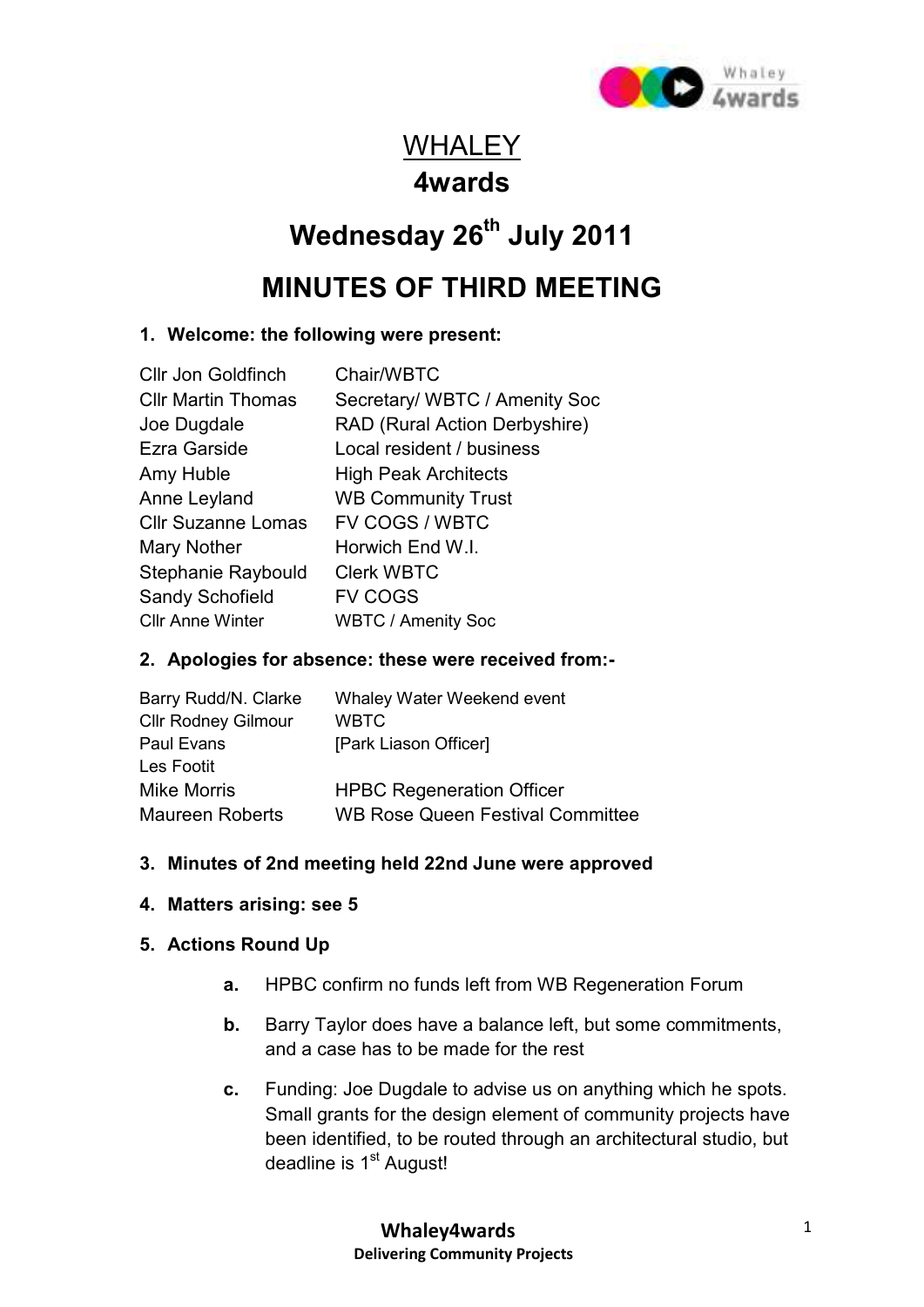

# **WHALEY 4wards**

# **Wednesday 26th July 2011**

# **MINUTES OF THIRD MEETING**

# **1. Welcome: the following were present:**

| <b>Cllr Jon Goldfinch</b> | Chair/WBTC                    |
|---------------------------|-------------------------------|
| <b>CIIr Martin Thomas</b> | Secretary/ WBTC / Amenity Soc |
| Joe Dugdale               | RAD (Rural Action Derbyshire) |
| Ezra Garside              | Local resident / business     |
| Amy Huble                 | <b>High Peak Architects</b>   |
| Anne Leyland              | <b>WB Community Trust</b>     |
| <b>Cllr Suzanne Lomas</b> | FV COGS / WBTC                |
| Mary Nother               | Horwich End W.I.              |
| Stephanie Raybould        | <b>Clerk WBTC</b>             |
| <b>Sandy Schofield</b>    | <b>FV COGS</b>                |
| <b>Cllr Anne Winter</b>   | <b>WBTC / Amenity Soc</b>     |
|                           |                               |

### **2. Apologies for absence: these were received from:-**

| Barry Rudd/N. Clarke       | Whaley Water Weekend event              |
|----------------------------|-----------------------------------------|
| <b>Cllr Rodney Gilmour</b> | <b>WBTC</b>                             |
| Paul Evans                 | [Park Liason Officer]                   |
| Les Footit                 |                                         |
| <b>Mike Morris</b>         | <b>HPBC Regeneration Officer</b>        |
| <b>Maureen Roberts</b>     | <b>WB Rose Queen Festival Committee</b> |

# **3. Minutes of 2nd meeting held 22nd June were approved**

#### **4. Matters arising: see 5**

#### **5. Actions Round Up**

- **a.** HPBC confirm no funds left from WB Regeneration Forum
- **b.** Barry Taylor does have a balance left, but some commitments, and a case has to be made for the rest
- **c.** Funding: Joe Dugdale to advise us on anything which he spots. Small grants for the design element of community projects have been identified, to be routed through an architectural studio, but deadline is  $1<sup>st</sup>$  August!

**Whaley4wards Delivering Community Projects**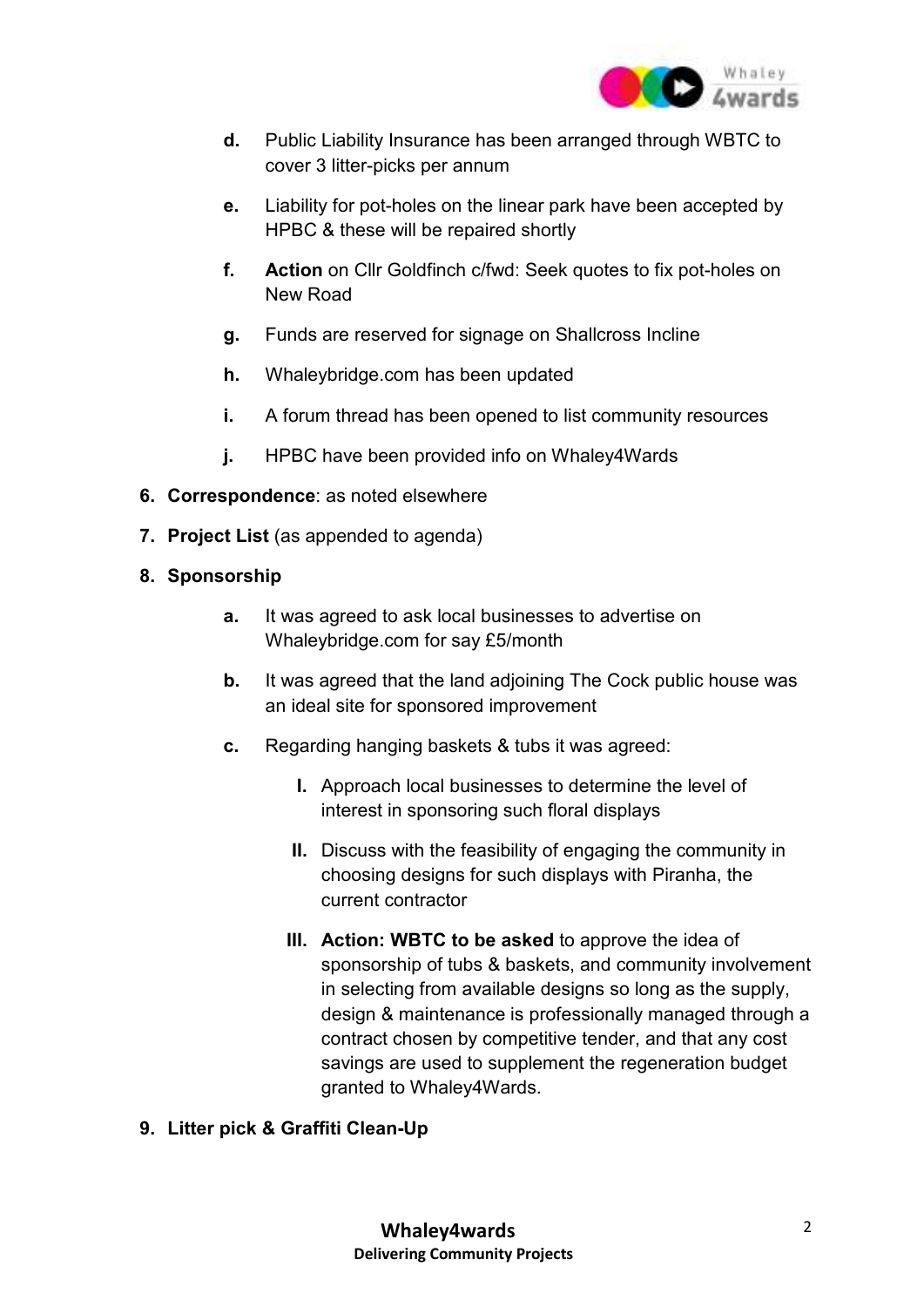

- **d.** Public Liability Insurance has been arranged through WBTC to cover 3 litter-picks per annum
- **e.** Liability for pot-holes on the linear park have been accepted by HPBC & these will be repaired shortly
- **f. Action** on Cllr Goldfinch c/fwd: Seek quotes to fix pot-holes on New Road
- **g.** Funds are reserved for signage on Shallcross Incline
- **h.** Whaleybridge.com has been updated
- **i.** A forum thread has been opened to list community resources
- **j.** HPBC have been provided info on Whaley4Wards
- **6. Correspondence**: as noted elsewhere
- **7. Project List** (as appended to agenda)
- **8. Sponsorship** 
	- **a.** It was agreed to ask local businesses to advertise on Whaleybridge.com for say £5/month
	- **b.** It was agreed that the land adjoining The Cock public house was an ideal site for sponsored improvement
	- **c.** Regarding hanging baskets & tubs it was agreed:
		- **I.** Approach local businesses to determine the level of interest in sponsoring such floral displays
		- **II.** Discuss with the feasibility of engaging the community in choosing designs for such displays with Piranha, the current contractor
		- **III. Action: WBTC to be asked** to approve the idea of sponsorship of tubs & baskets, and community involvement in selecting from available designs so long as the supply, design & maintenance is professionally managed through a contract chosen by competitive tender, and that any cost savings are used to supplement the regeneration budget granted to Whaley4Wards.
- **9. Litter pick & Graffiti Clean-Up**